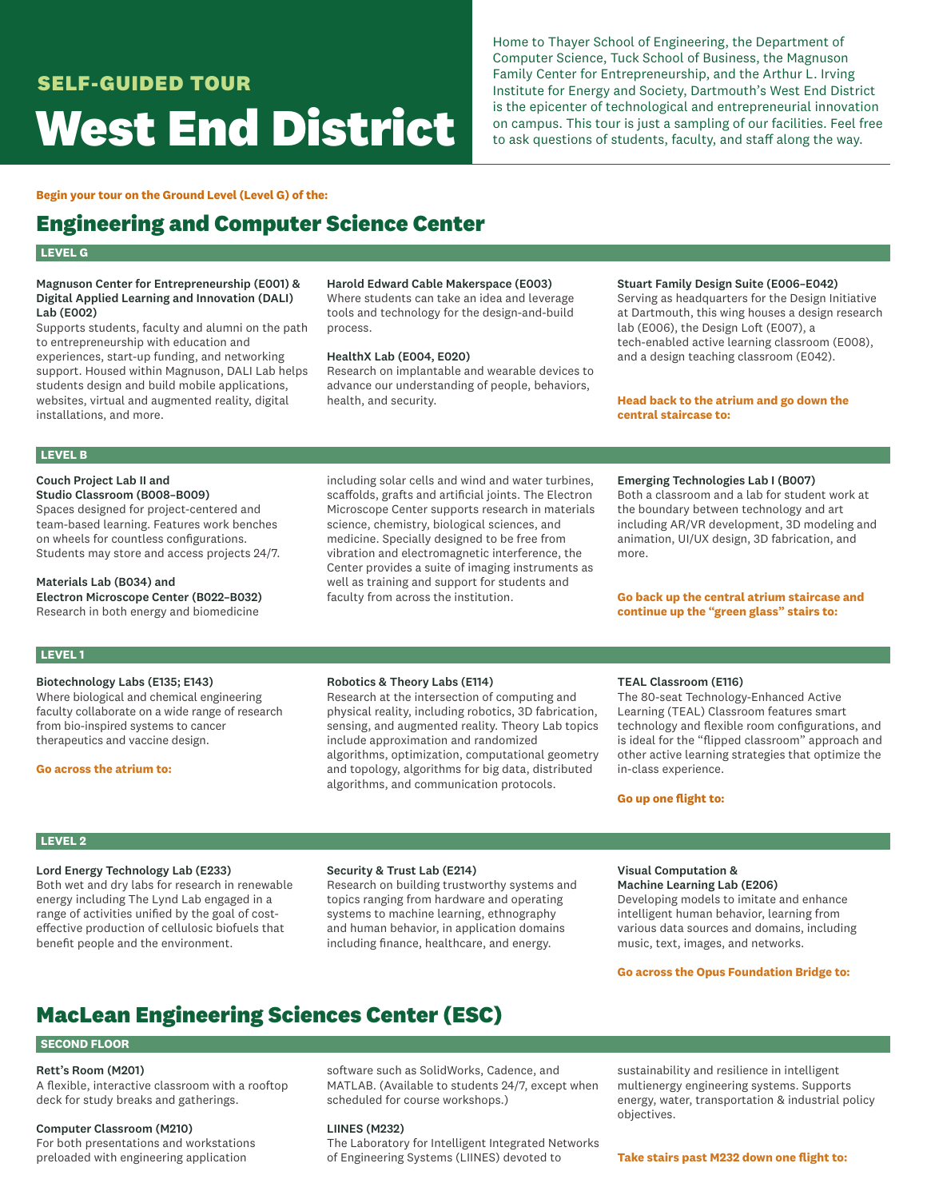# **SELF-GUIDED TOUR West End District**

Home to Thayer School of Engineering, the Department of Computer Science, Tuck School of Business, the Magnuson Family Center for Entrepreneurship, and the Arthur L. Irving Institute for Energy and Society, Dartmouth's West End District is the epicenter of technological and entrepreneurial innovation on campus. This tour is just a sampling of our facilities. Feel free to ask questions of students, faculty, and staff along the way.

### **Begin your tour on the Ground Level (Level G) of the:**

# **Engineering and Computer Science Center**

# **LEVEL G**

### Magnuson Center for Entrepreneurship (E001) & Digital Applied Learning and Innovation (DALI) Lab (E002)

Supports students, faculty and alumni on the path to entrepreneurship with education and experiences, start-up funding, and networking support. Housed within Magnuson, DALI Lab helps students design and build mobile applications, websites, virtual and augmented reality, digital installations, and more.

# Harold Edward Cable Makerspace (E003)

Where students can take an idea and leverage tools and technology for the design-and-build process.

### HealthX Lab (E004, E020)

Research on implantable and wearable devices to advance our understanding of people, behaviors, health, and security.

# Stuart Family Design Suite (E006–E042)

Serving as headquarters for the Design Initiative at Dartmouth, this wing houses a design research lab (E006), the Design Loft (E007), a tech-enabled active learning classroom (E008), and a design teaching classroom (E042).

# **Head back to the atrium and go down the central staircase to:**

# **LEVEL B**

#### Couch Project Lab II and Studio Classroom (B008–B009)

Spaces designed for project-centered and team-based learning. Features work benches on wheels for countless configurations. Students may store and access projects 24/7.

Materials Lab (B034) and

Electron Microscope Center (B022–B032) Research in both energy and biomedicine

including solar cells and wind and water turbines, scaffolds, grafts and artificial joints. The Electron Microscope Center supports research in materials science, chemistry, biological sciences, and medicine. Specially designed to be free from vibration and electromagnetic interference, the Center provides a suite of imaging instruments as well as training and support for students and faculty from across the institution.

#### Emerging Technologies Lab I (B007)

Both a classroom and a lab for student work at the boundary between technology and art including AR/VR development, 3D modeling and animation, UI/UX design, 3D fabrication, and more.

# **Go back up the central atrium staircase and continue up the "green glass" stairs to:**

# **LEVEL 1**

# Biotechnology Labs (E135; E143)

Where biological and chemical engineering faculty collaborate on a wide range of research from bio-inspired systems to cancer therapeutics and vaccine design.

### **Go across the atrium to:**

### Robotics & Theory Labs (E114)

Research at the intersection of computing and physical reality, including robotics, 3D fabrication, sensing, and augmented reality. Theory Lab topics include approximation and randomized algorithms, optimization, computational geometry and topology, algorithms for big data, distributed algorithms, and communication protocols.

#### TEAL Classroom (E116)

The 80-seat Technology-Enhanced Active Learning (TEAL) Classroom features smart technology and flexible room configurations, and is ideal for the "flipped classroom" approach and other active learning strategies that optimize the in-class experience.

# **Go up one flight to:**

# **LEVEL 2**

### Lord Energy Technology Lab (E233)

Both wet and dry labs for research in renewable energy including The Lynd Lab engaged in a range of activities unified by the goal of costeffective production of cellulosic biofuels that benefit people and the environment.

### Security & Trust Lab (E214)

Research on building trustworthy systems and topics ranging from hardware and operating systems to machine learning, ethnography and human behavior, in application domains including finance, healthcare, and energy.

# Visual Computation &

Machine Learning Lab (E206) Developing models to imitate and enhance intelligent human behavior, learning from various data sources and domains, including music, text, images, and networks.

### **Go across the Opus Foundation Bridge to:**

# **MacLean Engineering Sciences Center (ESC)**

# **SECOND FLOOR**

# Rett's Room (M201)

A flexible, interactive classroom with a rooftop deck for study breaks and gatherings.

### Computer Classroom (M210)

For both presentations and workstations preloaded with engineering application

software such as SolidWorks, Cadence, and MATLAB. (Available to students 24/7, except when scheduled for course workshops.)

# LIINES (M232)

The Laboratory for Intelligent Integrated Networks of Engineering Systems (LIINES) devoted to

sustainability and resilience in intelligent multienergy engineering systems. Supports energy, water, transportation & industrial policy objectives.